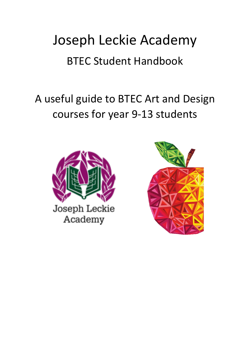# Joseph Leckie Academy BTEC Student Handbook

# A useful guide to BTEC Art and Design courses for year 9-13 students



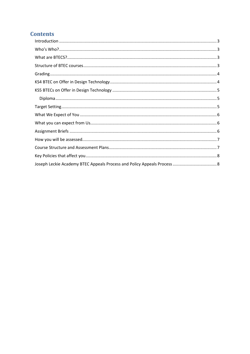# **Contents**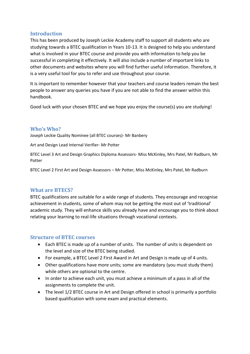# <span id="page-2-0"></span>**Introduction**

This has been produced by Joseph Leckie Academy staff to support all students who are studying towards a BTEC qualification in Years 10-13. It is designed to help you understand what is involved in your BTEC course and provide you with information to help you be successful in completing it effectively. It will also include a number of important links to other documents and websites where you will find further useful information. Therefore, it is a very useful tool for you to refer and use throughout your course.

It is important to remember however that your teachers and course leaders remain the best people to answer any queries you have if you are not able to find the answer within this handbook.

Good luck with your chosen BTEC and we hope you enjoy the course(s) you are studying!

# <span id="page-2-1"></span>**Who's Who?**

Joseph Leckie Quality Nominee (all BTEC courses)- Mr Banbery

Art and Design Lead Internal Verifier- Mr Potter

BTEC Level 3 Art and Design Graphics Diploma Assessors- Miss McKinley, Mrs Patel, Mr Radburn, Mr Potter

BTEC Level 2 First Art and Design Assessors – Mr Potter, Miss McKinley, Mrs Patel, Mr Radburn

# <span id="page-2-2"></span>**What are BTECS?**

BTEC qualifications are suitable for a wide range of students. They encourage and recognise achievement in students, some of whom may not be getting the most out of 'traditional' academic study. They will enhance skills you already have and encourage you to think about relating your learning to real-life situations through vocational contexts.

# <span id="page-2-3"></span>**Structure of BTEC courses**

- Each BTEC is made up of a number of units. The number of units is dependent on the level and size of the BTEC being studied.
- For example, a BTEC Level 2 First Award in Art and Design is made up of 4 units.
- Other qualifications have more units; some are mandatory (you must study them) while others are optional to the centre.
- In order to achieve each unit, you must achieve a minimum of a pass in all of the assignments to complete the unit.
- The level 1/2 BTEC course in Art and Design offered in school is primarily a portfolio based qualification with some exam and practical elements.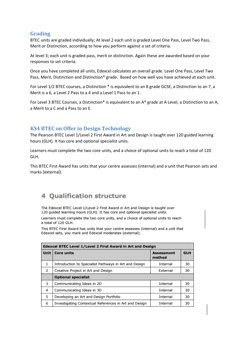# <span id="page-3-0"></span>**Grading**

BTEC units are graded individually; At level 2 each unit is graded Level One Pass, Level Two Pass, Merit or Distinction, according to how you perform against a set of criteria.

At level 3; each unit is graded pass, merit or distinction. Again these are awarded based on your responses to set criteria.

Once you have completed all units, Edexcel calculates an overall grade. Level One Pass, Level Two Pass, Merit, Distinction and Distinction\* grade. Based on how well you have achieved at each unit.

For Level 1/2 BTEC courses, a Distinction \* is equivalent to an 8 grade GCSE, a Distinction to an 7, a Merit is a 6, a Level 2 Pass to a 4 and a Level 1 Pass to an 1.

For Level 3 BTEC Courses, a Distinction\* is equivalent to an A\* grade at A Level, a Distinction to an A, a Merit to a C and a Pass to an E.

# <span id="page-3-1"></span>**KS4 BTEC on Offer in Design Technology**

The Pearson BTEC Level 1/Level 2 First Award in Art and Design is taught over 120 guided learning hours (GLH). It has core and optional specialist units.

Learners must complete the two core units, and a choice of optional units to reach a total of 120 GLH.

This BTEC First Award has units that your centre assesses (internal) and a unit that Pearson sets and marks (external).

# **4 Qualification structure**

The Edexcel BTEC Level 1/Level 2 First Award in Art and Design is taught over 120 guided learning hours (GLH). It has core and optional specialist units.

Learners must complete the two core units, and a choice of optional units to reach a total of 120 GLH.

This BTEC First Award has units that your centre assesses (internal) and a unit that Edexcel sets, you mark and Edexcel moderates (external).

| Edexcel BTEC Level 1/Level 2 First Award in Art and Design |                                                       |                             |            |  |
|------------------------------------------------------------|-------------------------------------------------------|-----------------------------|------------|--|
| Unit                                                       | <b>Core units</b>                                     | <b>Assessment</b><br>method | <b>GLH</b> |  |
| $\mathbf{1}$                                               | Introduction to Specialist Pathways in Art and Design | <b>Internal</b>             | 30         |  |
| 2                                                          | Creative Project in Art and Design                    | External                    | 30         |  |
|                                                            | <b>Optional specialist</b>                            |                             |            |  |
| 3                                                          | Communicating Ideas in 2D                             | <b>Internal</b>             | 30         |  |
| 4                                                          | Communicating Ideas in 3D                             | <b>Internal</b>             | 30         |  |
| 5                                                          | Developing an Art and Design Portfolio                | Internal                    | 30         |  |
| 6                                                          | Investigating Contextual References in Art and Design | <b>Internal</b>             | 30         |  |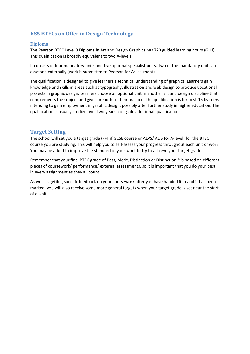# <span id="page-4-0"></span>**KS5 BTECs on Offer in Design Technology**

#### <span id="page-4-1"></span>**Diploma**

The Pearson BTEC Level 3 Diploma in Art and Design Graphics has 720 guided learning hours (GLH). This qualification is broadly equivalent to two A-levels

It consists of four mandatory units and five optional specialist units. Two of the mandatory units are assessed externally (work is submitted to Pearson for Assessment)

The qualification is designed to give learners a technical understanding of graphics. Learners gain knowledge and skills in areas such as typography, illustration and web design to produce vocational projects in graphic design. Learners choose an optional unit in another art and design discipline that complements the subject and gives breadth to their practice. The qualification is for post-16 learners intending to gain employment in graphic design, possibly after further study in higher education. The qualification is usually studied over two years alongside additional qualifications.

#### <span id="page-4-2"></span>**Target Setting**

The school will set you a target grade (FFT if GCSE course or ALPS/ ALIS for A-level) for the BTEC course you are studying. This will help you to self-assess your progress throughout each unit of work. You may be asked to improve the standard of your work to try to achieve your target grade.

Remember that your final BTEC grade of Pass, Merit, Distinction or Distinction \* is based on different pieces of coursework/ performance/ external assessments, so it is important that you do your best in every assignment as they all count.

As well as getting specific feedback on your coursework after you have handed it in and it has been marked, you will also receive some more general targets when your target grade is set near the start of a Unit.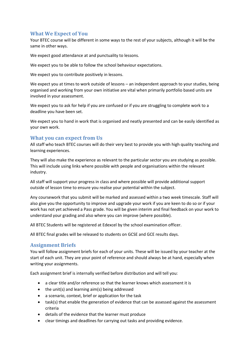# <span id="page-5-0"></span>**What We Expect of You**

Your BTEC course will be different in some ways to the rest of your subjects, although it will be the same in other ways.

We expect good attendance at and punctuality to lessons.

We expect you to be able to follow the school behaviour expectations.

We expect you to contribute positively in lessons.

We expect you at times to work outside of lessons – an independent approach to your studies, being organised and working from your own initiative are vital when primarily portfolio based units are involved in your assessment.

We expect you to ask for help if you are confused or if you are struggling to complete work to a deadline you have been set.

We expect you to hand in work that is organised and neatly presented and can be easily identified as your own work.

# <span id="page-5-1"></span>**What you can expect from Us**

All staff who teach BTEC courses will do their very best to provide you with high quality teaching and learning experiences.

They will also make the experience as relevant to the particular sector you are studying as possible. This will include using links where possible with people and organisations within the relevant industry.

All staff will support your progress in class and where possible will provide additional support outside of lesson time to ensure you realise your potential within the subject.

Any coursework that you submit will be marked and assessed within a two week timescale. Staff will also give you the opportunity to improve and upgrade your work if you are keen to do so or if your work has not yet achieved a Pass grade. You will be given interim and final feedback on your work to understand your grading and also where you can improve (where possible).

All BTEC Students will be registered at Edexcel by the school examination officer.

All BTEC final grades will be released to students on GCSE and GCE results days.

# <span id="page-5-2"></span>**Assignment Briefs**

You will follow assignment briefs for each of your units. These will be issued by your teacher at the start of each unit. They are your point of reference and should always be at hand, especially when writing your assignments.

Each assignment brief is internally verified before distribution and will tell you:

- a clear title and/or reference so that the learner knows which assessment it is
- the unit(s) and learning aim(s) being addressed
- a scenario, context, brief or application for the task
- task(s) that enable the generation of evidence that can be assessed against the assessment criteria
- details of the evidence that the learner must produce
- clear timings and deadlines for carrying out tasks and providing evidence.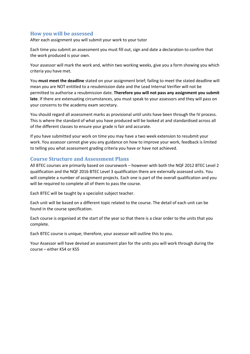# <span id="page-6-0"></span>**How you will be assessed**

After each assignment you will submit your work to your tutor

Each time you submit an assessment you must fill out, sign and date a declaration to confirm that the work produced is your own.

Your assessor will mark the work and, within two working weeks, give you a form showing you which criteria you have met.

You **must meet the deadline** stated on your assignment brief; failing to meet the stated deadline will mean you are NOT entitled to a resubmission date and the Lead Internal Verifier will not be permitted to authorise a resubmission date. **Therefore you will not pass any assignment you submit late**. If there are extenuating circumstances, you must speak to your assessors and they will pass on your concerns to the academy exam secretary.

You should regard all assessment marks as provisional until units have been through the IV process. This is where the standard of what you have produced will be looked at and standardised across all of the different classes to ensure your grade is fair and accurate.

If you have submitted your work on time you may have a two week extension to resubmit your work. You assessor cannot give you any guidance on how to improve your work, feedback is limited to telling you what assessment grading criteria you have or have not achieved.

# <span id="page-6-1"></span>**Course Structure and Assessment Plans**

All BTEC courses are primarily based on coursework – however with both the NQF 2012 BTEC Level 2 qualification and the NQF 2016 BTEC Level 3 qualification there are externally assessed units. You will complete a number of assignment projects. Each one is part of the overall qualification and you will be required to complete all of them to pass the course.

Each BTEC will be taught by a specialist subject teacher.

Each unit will be based on a different topic related to the course. The detail of each unit can be found in the course specification.

Each course is organised at the start of the year so that there is a clear order to the units that you complete.

Each BTEC course is unique; therefore, your assessor will outline this to you.

Your Assessor will have devised an assessment plan for the units you will work through during the course – either KS4 or KS5